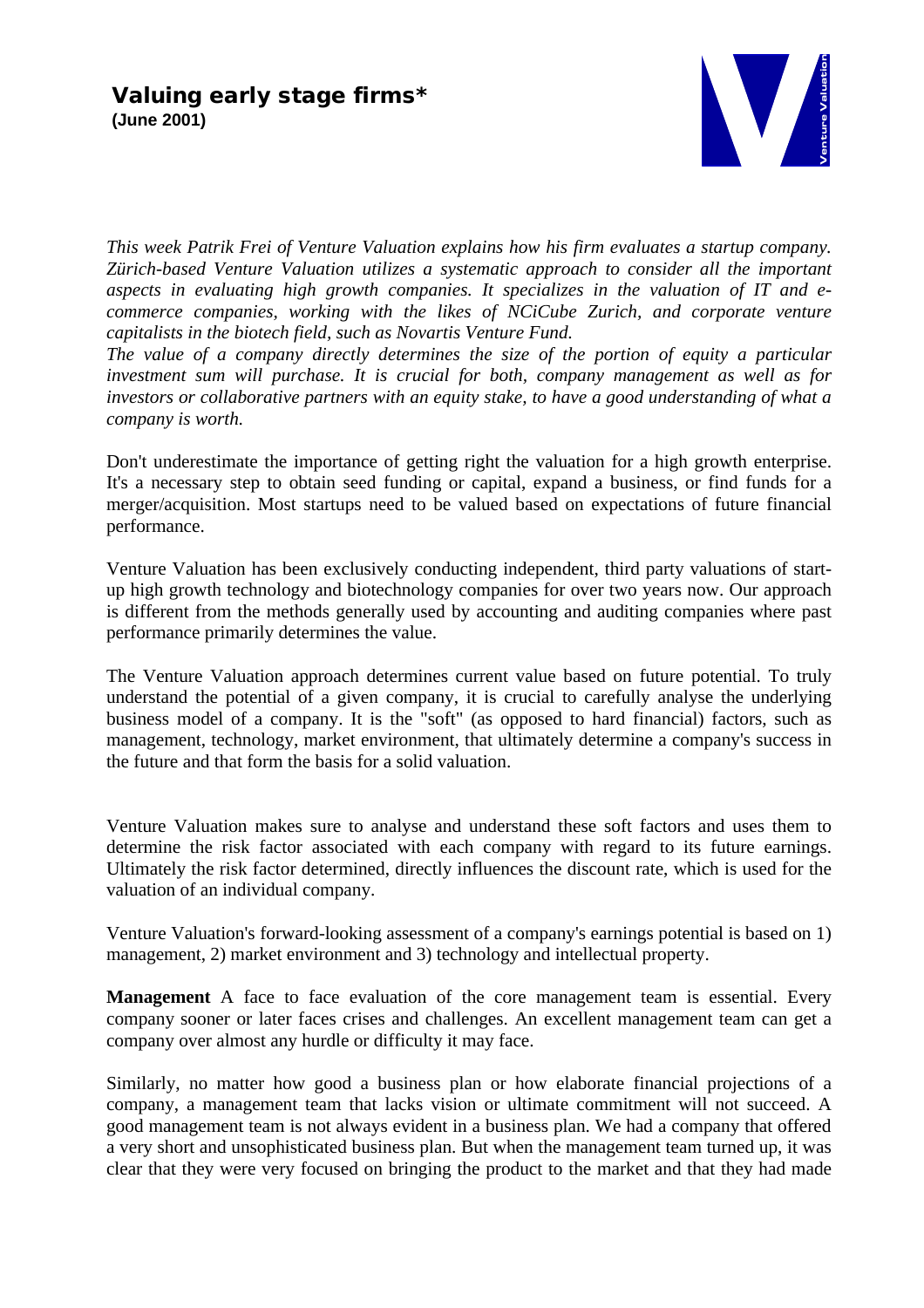

*This week Patrik Frei of Venture Valuation explains how his firm evaluates a startup company. Zürich-based Venture Valuation utilizes a systematic approach to consider all the important aspects in evaluating high growth companies. It specializes in the valuation of IT and ecommerce companies, working with the likes of NCiCube Zurich, and corporate venture capitalists in the biotech field, such as Novartis Venture Fund.*

*The value of a company directly determines the size of the portion of equity a particular investment sum will purchase. It is crucial for both, company management as well as for investors or collaborative partners with an equity stake, to have a good understanding of what a company is worth.*

Don't underestimate the importance of getting right the valuation for a high growth enterprise. It's a necessary step to obtain seed funding or capital, expand a business, or find funds for a merger/acquisition. Most startups need to be valued based on expectations of future financial performance.

Venture Valuation has been exclusively conducting independent, third party valuations of startup high growth technology and biotechnology companies for over two years now. Our approach is different from the methods generally used by accounting and auditing companies where past performance primarily determines the value.

The Venture Valuation approach determines current value based on future potential. To truly understand the potential of a given company, it is crucial to carefully analyse the underlying business model of a company. It is the "soft" (as opposed to hard financial) factors, such as management, technology, market environment, that ultimately determine a company's success in the future and that form the basis for a solid valuation.

Venture Valuation makes sure to analyse and understand these soft factors and uses them to determine the risk factor associated with each company with regard to its future earnings. Ultimately the risk factor determined, directly influences the discount rate, which is used for the valuation of an individual company.

Venture Valuation's forward-looking assessment of a company's earnings potential is based on 1) management, 2) market environment and 3) technology and intellectual property.

**Management** A face to face evaluation of the core management team is essential. Every company sooner or later faces crises and challenges. An excellent management team can get a company over almost any hurdle or difficulty it may face.

Similarly, no matter how good a business plan or how elaborate financial projections of a company, a management team that lacks vision or ultimate commitment will not succeed. A good management team is not always evident in a business plan. We had a company that offered a very short and unsophisticated business plan. But when the management team turned up, it was clear that they were very focused on bringing the product to the market and that they had made